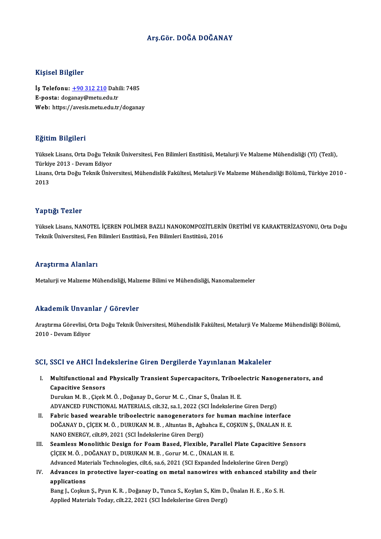### Arş.Gör. DOĞA DOĞANAY

#### Kişisel Bilgiler

Kişisel Bilgiler<br>İş Telefonu: <u>+90 312 210</u> Dahili: 7485<br>E nosta: desanav@metu.edu.tr miyisər Dirgirər<br>İş Telefonu: <u>+90 312 210</u> Dahi<br>E-posta: dog[anay@metu.ed](tel:+90 312 210)u.tr<br>Web: https://avesis.metu.edu.tr E-posta: doganay@metu.edu.tr<br>Web: https://avesis.metu.edu.tr/doganay

#### Eğitim Bilgileri

**Eğitim Bilgileri**<br>Yüksek Lisans, Orta Doğu Teknik Üniversitesi, Fen Bilimleri Enstitüsü, Metalurji Ve Malzeme Mühendisliği (Yl) (Tezli),<br>Türkiye 2013 - Dovam Ediyer 25.0000 - 21.51.001<br>Yüksek Lisans, Orta Doğu Tekı<br>Türkiye 2013 - Devam Ediyor Yüksek Lisans, Orta Doğu Teknik Üniversitesi, Fen Bilimleri Enstitüsü, Metalurji Ve Malzeme Mühendisliği (Yl) (Tezli),<br>Türkiye 2013 - Devam Ediyor<br>Lisans, Orta Doğu Teknik Üniversitesi, Mühendislik Fakültesi, Metalurji Ve Türkiy<br>Lisans<br>2013

## Yaptığı Tezler

Yüksek Lisans, NANOTEL İÇEREN POLİMER BAZLI NANOKOMPOZİTLERİN ÜRETİMİ VE KARAKTERİZASYONU, Orta Doğu Teknik Üniversitesi, Fen Bilimleri Enstitüsü, Fen Bilimleri Enstitüsü, 2016

#### Araştırma Alanları

Metalurji ve Malzeme Mühendisliği, Malzeme Bilimi ve Mühendisliği, Nanomalzemeler

#### Akademik Unvanlar / Görevler

**Akademik Unvanlar / Görevler**<br>Araştırma Görevlisi, Orta Doğu Teknik Üniversitesi, Mühendislik Fakültesi, Metalurji Ve Malzeme Mühendisliği Bölümü,<br>2010. Devem Ediyar 2010 -DevamEdiyor

# 2010 - Devam Ediyor<br>SCI, SSCI ve AHCI İndekslerine Giren Dergilerde Yayınlanan Makaleler

CI, SSCI ve AHCI İndekslerine Giren Dergilerde Yayınlanan Makaleler<br>I. Multifunctional and Physically Transient Supercapacitors, Triboelectric Nanogenerators, and<br>Canacitive Sensers Courses the Multifunctional and<br>Capacitive Sensors<br>Durylon M. B., Cicek Multifunctional and Physically Transient Supercapacitors, Triboel<br>Capacitive Sensors<br>Durukan M. B., Çiçek M. Ö., Doğanay D., Gorur M. C., Cinar S., Ünalan H. E.<br>ADVANCED EUNCTIONAL MATERIALS silt 32. sa 1.2022 (SCL Indeksl

Capacitive Sensors<br>Durukan M. B. , Çiçek M. Ö. , Doğanay D., Gorur M. C. , Cinar S., Ünalan H. E.<br>ADVANCED FUNCTIONAL MATERIALS, cilt.32, sa.1, 2022 (SCI İndekslerine Giren Dergi)

- II. Fabric based wearable triboelectric nanogenerators for human machine interface ADVANCED FUNCTIONAL MATERIALS, cilt.32, sa.1, 2022 (SCI İndekslerine Giren Dergi)<br>Fabric based wearable triboelectric nanogenerators for human machine interface<br>DOĞANAY D., ÇİÇEK M. Ö. , DURUKAN M. B. , Altuntas B., Agbahc Fabric based wearable triboelectric nanogenerators<br>DOĞANAY D., ÇİÇEK M. Ö. , DURUKAN M. B. , Altuntas B., Agb<br>NANO ENERGY, cilt.89, 2021 (SCI İndekslerine Giren Dergi)<br>Seamlase Manelithis Design far Feam Based, Flavihle DOĞANAY D., ÇİÇEK M. Ö., DURUKAN M. B., Altuntas B., Agbahca E., COŞKUN Ş., ÜNALAN H. E.<br>NANO ENERGY, cilt.89, 2021 (SCI İndekslerine Giren Dergi)<br>III. Seamless Monolithic Design for Foam Based, Flexible, Parallel Plate Ca
- NANO ENERGY, cilt.89, 2021 (SCI İndekslerine Giren Dergi)<br>Seamless Monolithic Design for Foam Based, Flexible, Parallel<br>ÇİÇEK M. Ö., DOĞANAY D., DURUKAN M. B., Gorur M. C., ÜNALAN H. E.<br>Advanced Materials Technologies, sil Seamless Monolithic Design for Foam Based, Flexible, Parallel Plate Capacitive Se<br>CİÇEK M. Ö. , DOĞANAY D., DURUKAN M. B. , Gorur M. C. , ÜNALAN H. E.<br>Advanced Materials Technologies, cilt.6, sa.6, 2021 (SCI Expanded İndek CICEK M. Ö., DOĞANAY D., DURUKAN M. B., Gorur M. C., ÜNALAN H. E.<br>Advanced Materials Technologies, cilt.6, sa.6, 2021 (SCI Expanded Indekslerine Giren Dergi)<br>IV. Advances in protective layer-coating on metal nanowires with
- Advanced Materials Technologies, cilt.6, sa.6, 2021 (SCI Expanded Indekslerine Giren Dergi)<br>Advances in protective layer-coating on metal nanowires with enhanced stability<br>applications<br>Bang J., Coskun S., Pyun K. R. , Doğa Advances in protective layer-coating on metal nanowires with enhanced stability<br>applications<br>Bang J., Coşkun Ş., Pyun K. R. , Doğanay D., Tunca S., Koylan S., Kim D., Ünalan H. E. , Ko S. H.<br>Applied Materials Today, silt 2

Applied Materials Today, cilt.22, 2021 (SCI İndekslerine Giren Dergi)